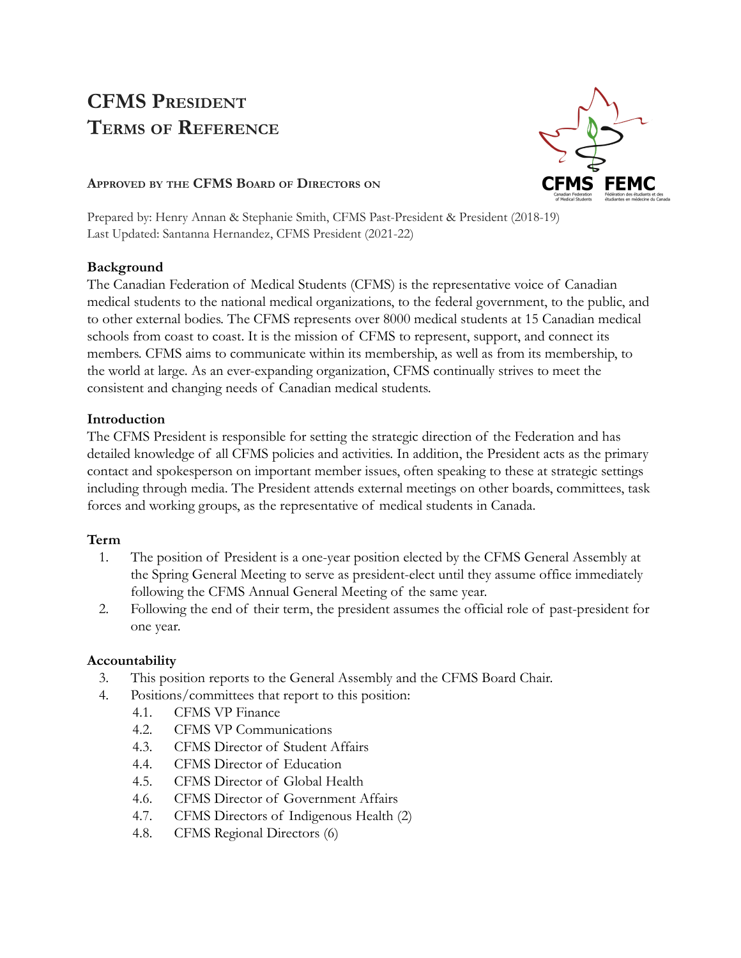# **CFMS PRESIDENT TERMS OF REFERENCE**



### **APPROVED BY THE CFMS BOARD OF DIRECTORS ON**

Prepared by: Henry Annan & Stephanie Smith, CFMS Past-President & President (2018-19) Last Updated: Santanna Hernandez, CFMS President (2021-22)

#### **Background**

The Canadian Federation of Medical Students (CFMS) is the representative voice of Canadian medical students to the national medical organizations, to the federal government, to the public, and to other external bodies. The CFMS represents over 8000 medical students at 15 Canadian medical schools from coast to coast. It is the mission of CFMS to represent, support, and connect its members. CFMS aims to communicate within its membership, as well as from its membership, to the world at large. As an ever-expanding organization, CFMS continually strives to meet the consistent and changing needs of Canadian medical students.

## **Introduction**

The CFMS President is responsible for setting the strategic direction of the Federation and has detailed knowledge of all CFMS policies and activities. In addition, the President acts as the primary contact and spokesperson on important member issues, often speaking to these at strategic settings including through media. The President attends external meetings on other boards, committees, task forces and working groups, as the representative of medical students in Canada.

# **Term**

- 1. The position of President is a one-year position elected by the CFMS General Assembly at the Spring General Meeting to serve as president-elect until they assume office immediately following the CFMS Annual General Meeting of the same year.
- 2. Following the end of their term, the president assumes the official role of past-president for one year.

# **Accountability**

- 3. This position reports to the General Assembly and the CFMS Board Chair.
- 4. Positions/committees that report to this position:
	- 4.1. CFMS VP Finance
		- 4.2. CFMS VP Communications
		- 4.3. CFMS Director of Student Affairs
		- 4.4. CFMS Director of Education
		- 4.5. CFMS Director of Global Health
		- 4.6. CFMS Director of Government Affairs
		- 4.7. CFMS Directors of Indigenous Health (2)
		- 4.8. CFMS Regional Directors (6)